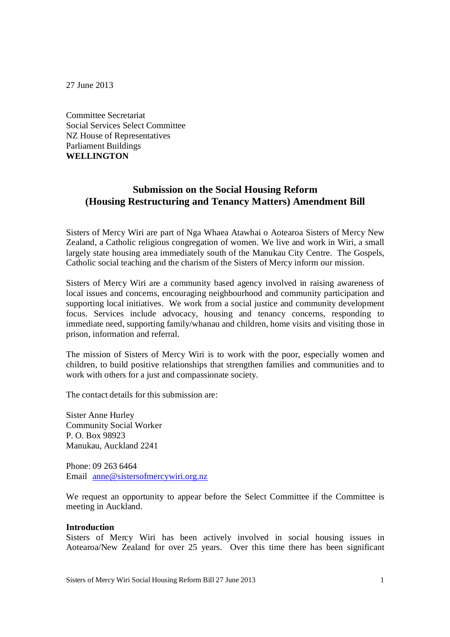27 June 2013

Committee Secretariat Social Services Select Committee NZ House of Representatives Parliament Buildings **WELLINGTON**

# **Submission on the Social Housing Reform (Housing Restructuring and Tenancy Matters) Amendment Bill**

Sisters of Mercy Wiri are part of Nga Whaea Atawhai o Aotearoa Sisters of Mercy New Zealand, a Catholic religious congregation of women. We live and work in Wiri, a small largely state housing area immediately south of the Manukau City Centre. The Gospels, Catholic social teaching and the charism of the Sisters of Mercy inform our mission.

Sisters of Mercy Wiri are a community based agency involved in raising awareness of local issues and concerns, encouraging neighbourhood and community participation and supporting local initiatives. We work from a social justice and community development focus. Services include advocacy, housing and tenancy concerns, responding to immediate need, supporting family/whanau and children, home visits and visiting those in prison, information and referral.

The mission of Sisters of Mercy Wiri is to work with the poor, especially women and children, to build positive relationships that strengthen families and communities and to work with others for a just and compassionate society.

The contact details for this submission are:

Sister Anne Hurley Community Social Worker P. O. Box 98923 Manukau, Auckland 2241

Phone: 09 263 6464 Email anne@sistersofmercywiri.org.nz

We request an opportunity to appear before the Select Committee if the Committee is meeting in Auckland.

#### **Introduction**

Sisters of Mercy Wiri has been actively involved in social housing issues in Aotearoa/New Zealand for over 25 years. Over this time there has been significant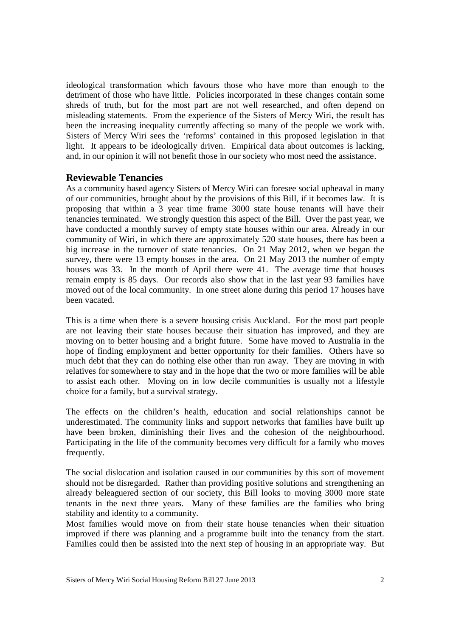ideological transformation which favours those who have more than enough to the detriment of those who have little. Policies incorporated in these changes contain some shreds of truth, but for the most part are not well researched, and often depend on misleading statements. From the experience of the Sisters of Mercy Wiri, the result has been the increasing inequality currently affecting so many of the people we work with. Sisters of Mercy Wiri sees the 'reforms' contained in this proposed legislation in that light. It appears to be ideologically driven. Empirical data about outcomes is lacking, and, in our opinion it will not benefit those in our society who most need the assistance.

### **Reviewable Tenancies**

As a community based agency Sisters of Mercy Wiri can foresee social upheaval in many of our communities, brought about by the provisions of this Bill, if it becomes law. It is proposing that within a 3 year time frame 3000 state house tenants will have their tenancies terminated. We strongly question this aspect of the Bill. Over the past year, we have conducted a monthly survey of empty state houses within our area. Already in our community of Wiri, in which there are approximately 520 state houses, there has been a big increase in the turnover of state tenancies. On 21 May 2012, when we began the survey, there were 13 empty houses in the area. On 21 May 2013 the number of empty houses was 33. In the month of April there were 41. The average time that houses remain empty is 85 days. Our records also show that in the last year 93 families have moved out of the local community. In one street alone during this period 17 houses have been vacated.

This is a time when there is a severe housing crisis Auckland. For the most part people are not leaving their state houses because their situation has improved, and they are moving on to better housing and a bright future. Some have moved to Australia in the hope of finding employment and better opportunity for their families. Others have so much debt that they can do nothing else other than run away. They are moving in with relatives for somewhere to stay and in the hope that the two or more families will be able to assist each other. Moving on in low decile communities is usually not a lifestyle choice for a family, but a survival strategy.

The effects on the children's health, education and social relationships cannot be underestimated. The community links and support networks that families have built up have been broken, diminishing their lives and the cohesion of the neighbourhood. Participating in the life of the community becomes very difficult for a family who moves frequently.

The social dislocation and isolation caused in our communities by this sort of movement should not be disregarded. Rather than providing positive solutions and strengthening an already beleaguered section of our society, this Bill looks to moving 3000 more state tenants in the next three years. Many of these families are the families who bring stability and identity to a community.

Most families would move on from their state house tenancies when their situation improved if there was planning and a programme built into the tenancy from the start. Families could then be assisted into the next step of housing in an appropriate way. But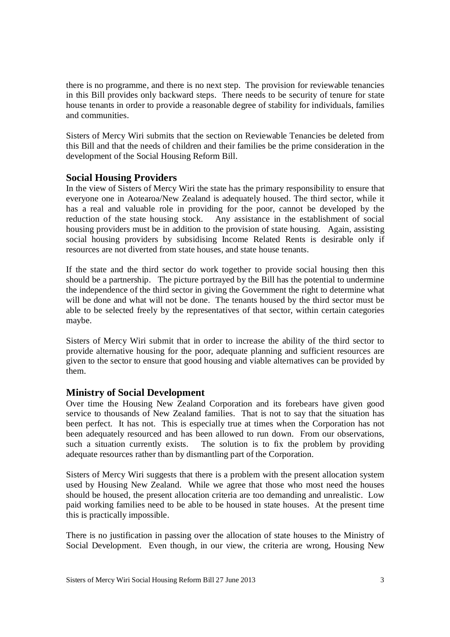there is no programme, and there is no next step. The provision for reviewable tenancies in this Bill provides only backward steps. There needs to be security of tenure for state house tenants in order to provide a reasonable degree of stability for individuals, families and communities.

Sisters of Mercy Wiri submits that the section on Reviewable Tenancies be deleted from this Bill and that the needs of children and their families be the prime consideration in the development of the Social Housing Reform Bill.

# **Social Housing Providers**

In the view of Sisters of Mercy Wiri the state has the primary responsibility to ensure that everyone one in Aotearoa/New Zealand is adequately housed. The third sector, while it has a real and valuable role in providing for the poor, cannot be developed by the reduction of the state housing stock. Any assistance in the establishment of social housing providers must be in addition to the provision of state housing. Again, assisting social housing providers by subsidising Income Related Rents is desirable only if resources are not diverted from state houses, and state house tenants.

If the state and the third sector do work together to provide social housing then this should be a partnership. The picture portrayed by the Bill has the potential to undermine the independence of the third sector in giving the Government the right to determine what will be done and what will not be done. The tenants housed by the third sector must be able to be selected freely by the representatives of that sector, within certain categories maybe.

Sisters of Mercy Wiri submit that in order to increase the ability of the third sector to provide alternative housing for the poor, adequate planning and sufficient resources are given to the sector to ensure that good housing and viable alternatives can be provided by them.

# **Ministry of Social Development**

Over time the Housing New Zealand Corporation and its forebears have given good service to thousands of New Zealand families. That is not to say that the situation has been perfect. It has not. This is especially true at times when the Corporation has not been adequately resourced and has been allowed to run down. From our observations, such a situation currently exists. The solution is to fix the problem by providing adequate resources rather than by dismantling part of the Corporation.

Sisters of Mercy Wiri suggests that there is a problem with the present allocation system used by Housing New Zealand. While we agree that those who most need the houses should be housed, the present allocation criteria are too demanding and unrealistic. Low paid working families need to be able to be housed in state houses. At the present time this is practically impossible.

There is no justification in passing over the allocation of state houses to the Ministry of Social Development. Even though, in our view, the criteria are wrong, Housing New